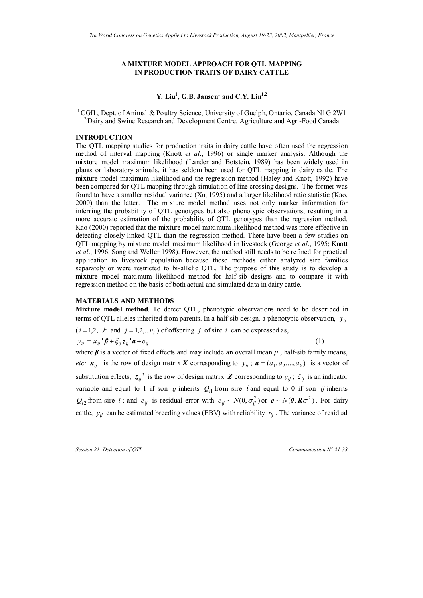# **A MIXTURE MODEL APPROACH FOR QTL MAPPING IN PRODUCTION TRAITS OF DAIRY CATTLE**

# Y. Liu<sup>1</sup>, G.B. Jansen<sup>1</sup> and C.Y. Lin<sup>1,2</sup>

<sup>1</sup> CGIL, Dept. of Animal & Poultry Science, University of Guelph, Ontario, Canada N1G 2W1 <sup>2</sup> Dairy and Swine Research and Development Centre, Agriculture and Agri-Food Canada

# **INTRODUCTION**

The QTL mapping studies for production traits in dairy cattle have often used the regression method of interval mapping (Knott *et al*., 1996) or single marker analysis. Although the mixture model maximum likelihood (Lander and Botstein, 1989) has been widely used in plants or laboratory animals, it has seldom been used for QTL mapping in dairy cattle. The mixture model maximum likelihood and the regression method (Haley and Knott, 1992) have been compared for QTL mapping through simulation of line crossing designs. The former was found to have a smaller residual variance (Xu, 1995) and a larger likelihood ratio statistic (Kao, 2000) than the latter. The mixture model method uses not only marker information for inferring the probability of QTL genotypes but also phenotypic observations, resulting in a more accurate estimation of the probability of QTL genotypes than the regression method. Kao (2000) reported that the mixture model maximum likelihood method was more effective in detecting closely linked QTL than the regression method. There have been a few studies on QTL mapping by mixture model maximum likelihood in livestock (George *et al*., 1995; Knott *et al*., 1996, Song and Weller 1998). However, the method still needs to be refined for practical application to livestock population because these methods either analyzed sire families separately or were restricted to bi-allelic QTL. The purpose of this study is to develop a mixture model maximum likelihood method for half-sib designs and to compare it with regression method on the basis of both actual and simulated data in dairy cattle.

### **MATERIALS AND METHODS**

**Mixture model method**. To detect QTL, phenotypic observations need to be described in terms of QTL alleles inherited from parents. In a half-sib design, a phenotypic observation,  $y_{ij}$ 

$$
(i = 1, 2, \dots k \text{ and } j = 1, 2, \dots n_i) \text{ of offspring } j \text{ of sure } i \text{ can be expressed as,}
$$
  

$$
y_{ij} = x_{ij} \, \mathbf{j} \, \mathbf{k} + \xi_{ij} \, z_{ij} \, \mathbf{k} + e_{ij}
$$
 (1)

where  $\beta$  is a vector of fixed effects and may include an overall mean  $\mu$ , half-sib family means, *etc;*  $x_{ij}$  is the row of design matrix X corresponding to  $y_{ij}$ ;  $a = (a_1, a_2, ..., a_k)$  is a vector of substitution effects;  $z_{ij}$ <sup>'</sup> is the row of design matrix **Z** corresponding to  $y_{ij}$ ;  $\zeta_{ij}$  is an indicator variable and equal to 1 if son *ij* inherits  $Q_{i1}$  from sire *i* and equal to 0 if son *ij* inherits  $Q_{i2}$  from sire *i*; and  $e_{ij}$  is residual error with  $e_{ij} \sim N(0, \sigma_{ij}^2)$  or  $e \sim N(0, R\sigma^2)$ . For dairy cattle,  $y_{ij}$  can be estimated breeding values (EBV) with reliability  $r_{ij}$ . The variance of residual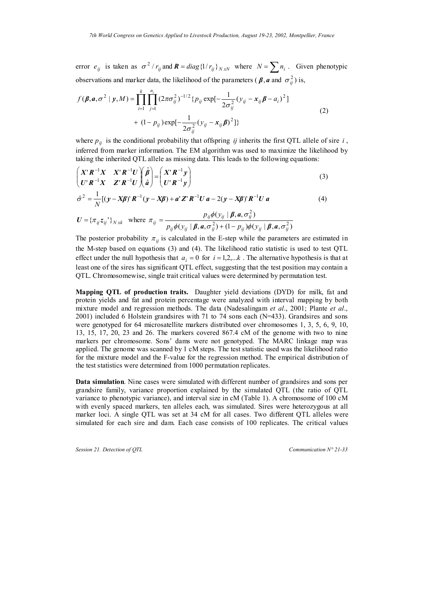error  $e_{ij}$  is taken as  $\sigma^2 / r_{ij}$  and  $\mathbf{R} = diag\{1/r_{ij}\}_{N \times N}$  where  $N = \sum n_i$ . Given phenotypic observations and marker data, the likelihood of the parameters ( $\beta$ , *a* and  $\sigma_{ij}^2$ ) is,

$$
f(\boldsymbol{\beta}, \boldsymbol{a}, \sigma^2 \mid \boldsymbol{y}, M) = \prod_{i=1}^k \prod_{j=1}^{n_i} (2\pi\sigma_{ij}^2)^{-1/2} \{p_{ij} \exp[-\frac{1}{2\sigma_{ij}^2} (y_{ij} - x_{ij}\boldsymbol{\beta} - a_i)^2] + (1 - p_{ij}) \exp[-\frac{1}{2\sigma_{ij}^2} (y_{ij} - x_{ij}\boldsymbol{\beta})^2] \}
$$
(2)

where  $p_{ij}$  is the conditional probability that offspring *ij* inherits the first QTL allele of sire *i*, inferred from marker information. The EM algorithm was used to maximize the likelihood by taking the inherited QTL allele as missing data. This leads to the following equations:

$$
\begin{pmatrix} X^{\dagger} R^{-1} X & X^{\dagger} R^{-1} U \\ U^{\dagger} R^{-1} X & Z^{\dagger} R^{-1} U \end{pmatrix} \begin{pmatrix} \hat{\beta} \\ \hat{a} \end{pmatrix} = \begin{pmatrix} X^{\dagger} R^{-1} y \\ U^{\dagger} R^{-1} y \end{pmatrix}
$$
\n(3)

$$
\hat{\sigma}^2 = \frac{1}{N} \left[ \left( \mathbf{y} - \mathbf{X}\boldsymbol{\beta} \right) \mathbf{R}^{-1} \left( \mathbf{y} - \mathbf{X}\boldsymbol{\beta} \right) + \mathbf{a}^{\dagger} \mathbf{Z}^{\dagger} \mathbf{R}^{-1} \mathbf{U} \mathbf{a} - 2(\mathbf{y} - \mathbf{X}\boldsymbol{\beta})^{\dagger} \mathbf{R}^{-1} \mathbf{U} \mathbf{a} \right]
$$
(4)

$$
\boldsymbol{U} = \{\pi_{ij} z_{ij}^{\phantom{\top}}\}_{N \ge k} \quad \text{where} \quad \pi_{ij} = \frac{p_{ij} \phi(y_{ij} \mid \boldsymbol{\beta}, \boldsymbol{a}, \sigma_{ij}^2)}{p_{ij} \phi(y_{ij} \mid \boldsymbol{\beta}, \boldsymbol{a}, \sigma_{ij}^2) + (1 - p_{ij}) \phi(y_{ij} \mid \boldsymbol{\beta}, \boldsymbol{a}, \sigma_{ij}^2)}
$$

effect under the null hypothesis that  $a_i = 0$  for  $i = 1, 2, \dots k$ . The alternative hypothesis is that at The posterior probability  $\pi_{ij}$  is calculated in the E-step while the parameters are estimated in the M-step based on equations (3) and (4). The likelihood ratio statistic is used to test QTL least one of the sires has significant QTL effect, suggesting that the test position may contain a QTL. Chromosomewise, single trait critical values were determined by permutation test.

**Mapping QTL of production traits.** Daughter yield deviations (DYD) for milk, fat and protein yields and fat and protein percentage were analyzed with interval mapping by both mixture model and regression methods. The data (Nadesalingam *et al*., 2001; Plante *et al*., 2001) included 6 Holstein grandsires with 71 to 74 sons each (N=433). Grandsires and sons were genotyped for 64 microsatellite markers distributed over chromosomes 1, 3, 5, 6, 9, 10, 13, 15, 17, 20, 23 and 26. The markers covered 867.4 cM of the genome with two to nine markers per chromosome. Sons' dams were not genotyped. The MARC linkage map was applied. The genome was scanned by 1 cM steps. The test statistic used was the likelihood ratio for the mixture model and the F-value for the regression method. The empirical distribution of the test statistics were determined from 1000 permutation replicates.

**Data simulation**. Nine cases were simulated with different number of grandsires and sons per grandsire family, variance proportion explained by the simulated QTL (the ratio of QTL variance to phenotypic variance), and interval size in cM (Table 1). A chromosome of 100 cM with evenly spaced markers, ten alleles each, was simulated. Sires were heterozygous at all marker loci. A single QTL was set at 34 cM for all cases. Two different QTL alleles were simulated for each sire and dam. Each case consists of 100 replicates. The critical values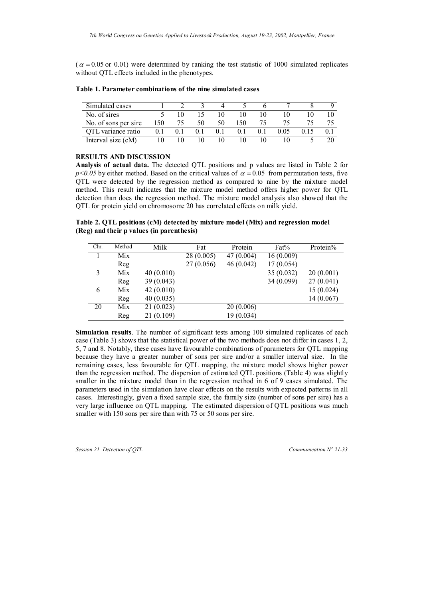$(\alpha = 0.05 \text{ or } 0.01)$  were determined by ranking the test statistic of 1000 simulated replicates without QTL effects included in the phenotypes.

| Simulated cases      |     |  |    |  |  |
|----------------------|-----|--|----|--|--|
| No. of sires         |     |  |    |  |  |
| No. of sons per sire | 150 |  | 50 |  |  |
| OTL variance ratio   |     |  |    |  |  |
| Interval size (cM)   |     |  |    |  |  |

**Table 1. Parameter combinations of the nine simulated cases**

#### **RESULTS AND DISCUSSION**

**Analysis of actual data.** The detected QTL positions and p values are listed in Table 2 for  $p<0.05$  by either method. Based on the critical values of  $\alpha = 0.05$  from permutation tests, five QTL were detected by the regression method as compared to nine by the mixture model method. This result indicates that the mixture model method offers higher power for QTL detection than does the regression method. The mixture model analysis also showed that the QTL for protein yield on chromosome 20 has correlated effects on milk yield.

**Table 2. QTL positions (cM) detected by mixture model (Mix) and regression model (Reg) and their p values (in parenthesis)**

| Chr. | Method | Milk       | Fat        | Protein    | Fat%       | Protein%  |
|------|--------|------------|------------|------------|------------|-----------|
| 1    | Mix    |            | 28(0.005)  | 47 (0.004) | 16(0.009)  |           |
|      | Reg    |            | 27 (0.056) | 46 (0.042) | 17(0.054)  |           |
| 3    | Mix    | 40(0.010)  |            |            | 35(0.032)  | 20(0.001) |
|      | Reg    | 39 (0.043) |            |            | 34 (0.099) | 27(0.041) |
| 6    | Mix    | 42(0.010)  |            |            |            | 15(0.024) |
|      | Reg    | 40(0.035)  |            |            |            | 14(0.067) |
| 20   | Mix    | 21(0.023)  |            | 20(0.006)  |            |           |
|      | Reg    | 21(0.109)  |            | 19 (0.034) |            |           |

**Simulation results**. The number of significant tests among 100 simulated replicates of each case (Table 3) shows that the statistical power of the two methods does not differ in cases 1, 2, 5, 7 and 8. Notably, these cases have favourable combinations of parameters for QTL mapping because they have a greater number of sons per sire and/or a smaller interval size. In the remaining cases, less favourable for QTL mapping, the mixture model shows higher power than the regression method. The dispersion of estimated QTL positions (Table 4) was slightly smaller in the mixture model than in the regression method in 6 of 9 cases simulated. The parameters used in the simulation have clear effects on the results with expected patterns in all cases. Interestingly, given a fixed sample size, the family size (number of sons per sire) has a very large influence on QTL mapping. The estimated dispersion of QTL positions was much smaller with 150 sons per sire than with 75 or 50 sons per sire.